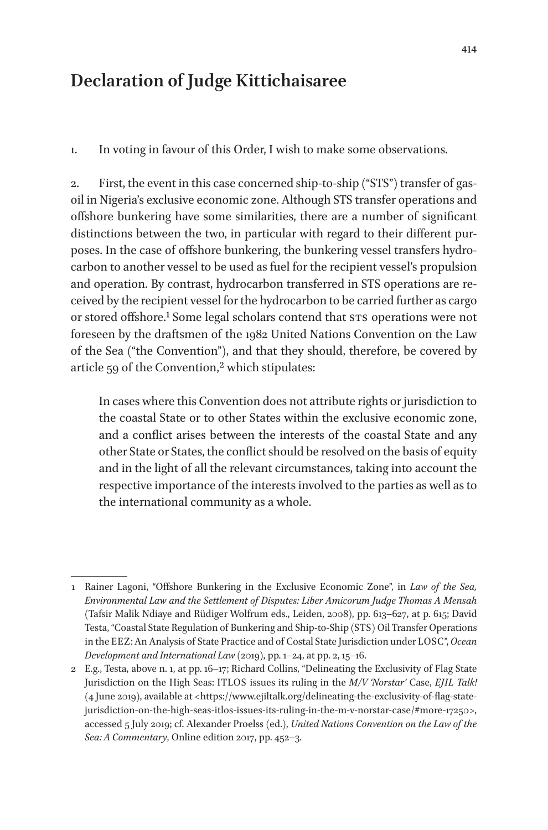## **Declaration of Judge Kittichaisaree**

1. In voting in favour of this Order, I wish to make some observations.

2. First, the event in this case concerned ship-to-ship ("STS") transfer of gasoil in Nigeria's exclusive economic zone. Although STS transfer operations and offshore bunkering have some similarities, there are a number of significant distinctions between the two, in particular with regard to their different purposes. In the case of offshore bunkering, the bunkering vessel transfers hydrocarbon to another vessel to be used as fuel for the recipient vessel's propulsion and operation. By contrast, hydrocarbon transferred in STS operations are received by the recipient vessel for the hydrocarbon to be carried further as cargo or stored offshore.1 Some legal scholars contend that STS operations were not foreseen by the draftsmen of the 1982 United Nations Convention on the Law of the Sea ("the Convention"), and that they should, therefore, be covered by article 59 of the Convention,<sup>2</sup> which stipulates:

In cases where this Convention does not attribute rights or jurisdiction to the coastal State or to other States within the exclusive economic zone, and a conflict arises between the interests of the coastal State and any other State or States, the conflict should be resolved on the basis of equity and in the light of all the relevant circumstances, taking into account the respective importance of the interests involved to the parties as well as to the international community as a whole.

<sup>1</sup> Rainer Lagoni, "Offshore Bunkering in the Exclusive Economic Zone", in *Law of the Sea, Environmental Law and the Settlement of Disputes: Liber Amicorum Judge Thomas A Mensah*  (Tafsir Malik Ndiaye and Rüdiger Wolfrum eds., Leiden, 2008), pp. 613–627, at p. 615; David Testa, "Coastal State Regulation of Bunkering and Ship-to-Ship (STS) Oil Transfer Operations in the EEZ: An Analysis of State Practice and of Costal State Jurisdiction under LOSC", *Ocean Development and International Law* (2019), pp. 1–24, at pp. 2, 15–16.

<sup>2</sup> E.g., Testa, above n. 1, at pp. 16–17; Richard Collins, "Delineating the Exclusivity of Flag State Jurisdiction on the High Seas: ITLOS issues its ruling in the *M/V 'Norstar'* Case, *EJIL Talk!*  (4 June 2019), available at <https://www.ejiltalk.org/delineating-the-exclusivity-of-flag-statejurisdiction-on-the-high-seas-itlos-issues-its-ruling-in-the-m-v-norstar-case/#more-17250>, accessed 5 July 2019; cf. Alexander Proelss (ed.), *United Nations Convention on the Law of the Sea: A Commentary*, Online edition 2017, pp. 452–3.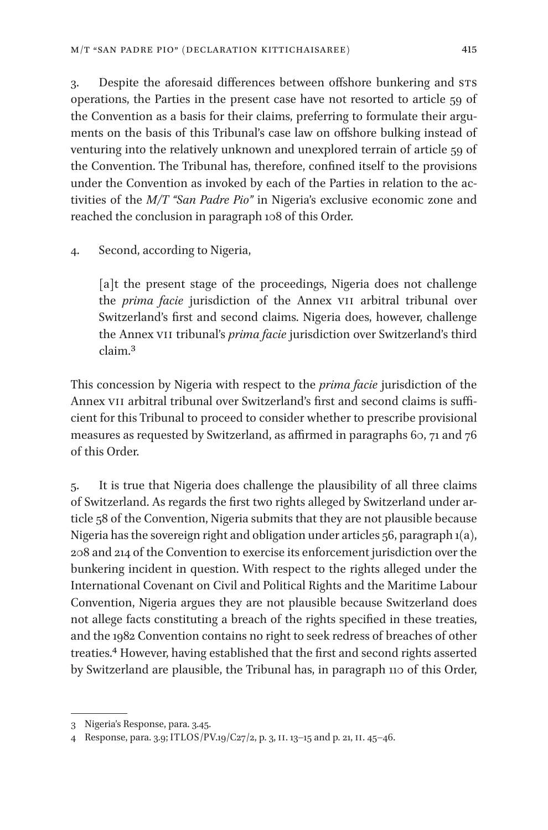3. Despite the aforesaid differences between offshore bunkering and STS operations, the Parties in the present case have not resorted to article 59 of the Convention as a basis for their claims, preferring to formulate their arguments on the basis of this Tribunal's case law on offshore bulking instead of venturing into the relatively unknown and unexplored terrain of article 59 of the Convention. The Tribunal has, therefore, confined itself to the provisions under the Convention as invoked by each of the Parties in relation to the activities of the *M/T "San Padre Pio"* in Nigeria's exclusive economic zone and reached the conclusion in paragraph 108 of this Order.

4. Second, according to Nigeria,

[a]t the present stage of the proceedings, Nigeria does not challenge the *prima facie* jurisdiction of the Annex VII arbitral tribunal over Switzerland's first and second claims. Nigeria does, however, challenge the Annex VII tribunal's *prima facie* jurisdiction over Switzerland's third claim.3

This concession by Nigeria with respect to the *prima facie* jurisdiction of the Annex VII arbitral tribunal over Switzerland's first and second claims is sufficient for this Tribunal to proceed to consider whether to prescribe provisional measures as requested by Switzerland, as affirmed in paragraphs 60, 71 and 76 of this Order.

5. It is true that Nigeria does challenge the plausibility of all three claims of Switzerland. As regards the first two rights alleged by Switzerland under article 58 of the Convention, Nigeria submits that they are not plausible because Nigeria has the sovereign right and obligation under articles 56, paragraph 1(a), 208 and 214 of the Convention to exercise its enforcement jurisdiction over the bunkering incident in question. With respect to the rights alleged under the International Covenant on Civil and Political Rights and the Maritime Labour Convention, Nigeria argues they are not plausible because Switzerland does not allege facts constituting a breach of the rights specified in these treaties, and the 1982 Convention contains no right to seek redress of breaches of other treaties.4 However, having established that the first and second rights asserted by Switzerland are plausible, the Tribunal has, in paragraph 110 of this Order,

<sup>3</sup> Nigeria's Response, para. 3.45.

<sup>4</sup> Response, para. 3.9; ITLOS/PV.19/C27/2, p. 3, II. 13–15 and p. 21, II. 45–46.